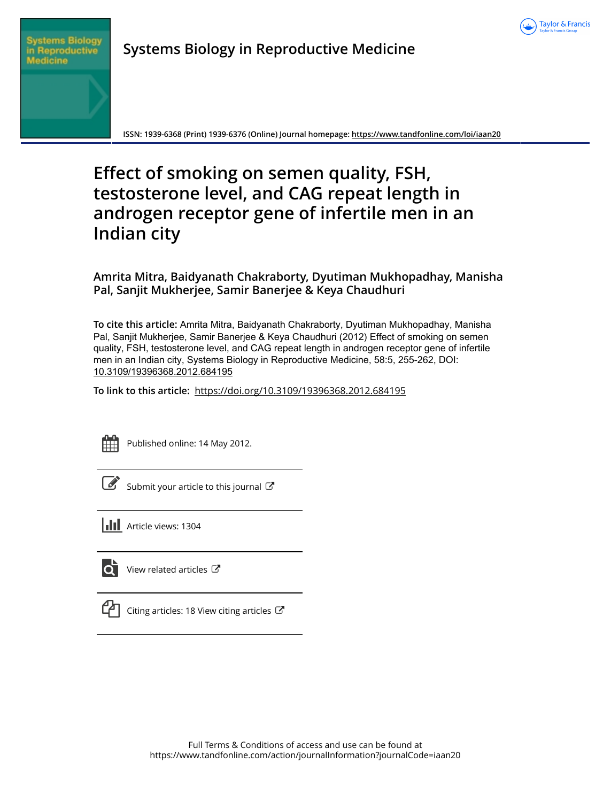



# **Systems Biology in Reproductive Medicine**

**ISSN: 1939-6368 (Print) 1939-6376 (Online) Journal homepage:<https://www.tandfonline.com/loi/iaan20>**

# **Effect of smoking on semen quality, FSH, testosterone level, and CAG repeat length in androgen receptor gene of infertile men in an Indian city**

# **Amrita Mitra, Baidyanath Chakraborty, Dyutiman Mukhopadhay, Manisha Pal, Sanjit Mukherjee, Samir Banerjee & Keya Chaudhuri**

**To cite this article:** Amrita Mitra, Baidyanath Chakraborty, Dyutiman Mukhopadhay, Manisha Pal, Sanjit Mukherjee, Samir Banerjee & Keya Chaudhuri (2012) Effect of smoking on semen quality, FSH, testosterone level, and CAG repeat length in androgen receptor gene of infertile men in an Indian city, Systems Biology in Reproductive Medicine, 58:5, 255-262, DOI: [10.3109/19396368.2012.684195](https://www.tandfonline.com/action/showCitFormats?doi=10.3109/19396368.2012.684195)

**To link to this article:** <https://doi.org/10.3109/19396368.2012.684195>



Published online: 14 May 2012.

[Submit your article to this journal](https://www.tandfonline.com/action/authorSubmission?journalCode=iaan20&show=instructions)  $\mathbb{Z}$ 

**Article views: 1304** 



 $\overline{\mathbf{Q}}$  [View related articles](https://www.tandfonline.com/doi/mlt/10.3109/19396368.2012.684195)  $\mathbf{C}$ 



 $\Box$  [Citing articles: 18 View citing articles](https://www.tandfonline.com/doi/citedby/10.3109/19396368.2012.684195#tabModule)  $\Box$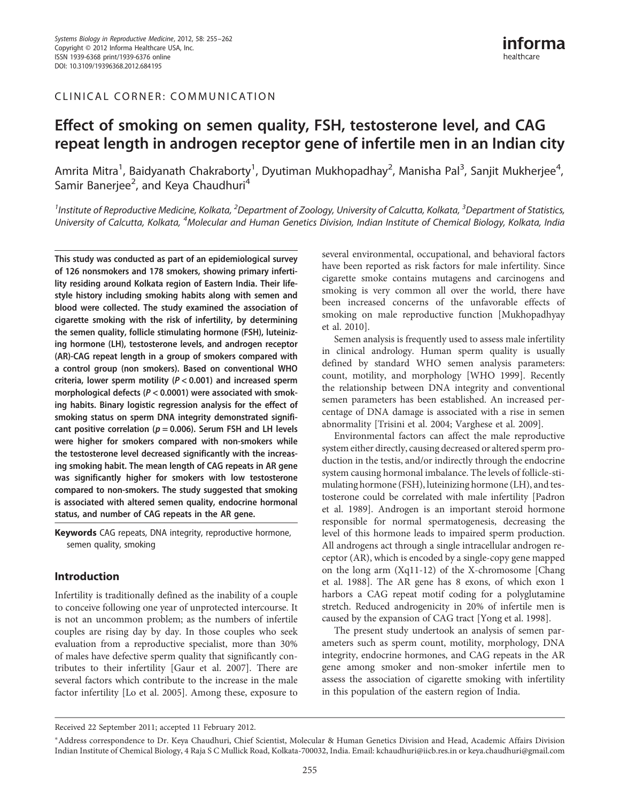## CLINICAL CORNER: COMMUNICATION

# Effect of smoking on semen quality, FSH, testosterone level, and CAG repeat length in androgen receptor gene of infertile men in an Indian city

Amrita Mitra<sup>1</sup>, Baidvanath Chakrabortv<sup>1</sup>, Dvutiman Mukhopadhav<sup>2</sup>, Manisha Pal<sup>3</sup>, Saniit Mukheriee<sup>4</sup> , Samir Baneriee<sup>2</sup>, and Keya Chaudhuri<sup>4</sup>

 $^1$ Institute of Reproductive Medicine, Kolkata,  $^2$ Department of Zoology, University of Calcutta, Kolkata,  $^3$ Department of Statistics, University of Calcutta, Kolkata, <sup>4</sup>Molecular and Human Genetics Division, Indian Institute of Chemical Biology, Kolkata, India

This study was conducted as part of an epidemiological survey of 126 nonsmokers and 178 smokers, showing primary infertility residing around Kolkata region of Eastern India. Their lifestyle history including smoking habits along with semen and blood were collected. The study examined the association of cigarette smoking with the risk of infertility, by determining the semen quality, follicle stimulating hormone (FSH), luteinizing hormone (LH), testosterone levels, and androgen receptor (AR)-CAG repeat length in a group of smokers compared with a control group (non smokers). Based on conventional WHO criteria, lower sperm motility ( $P < 0.001$ ) and increased sperm morphological defects ( $P < 0.0001$ ) were associated with smoking habits. Binary logistic regression analysis for the effect of smoking status on sperm DNA integrity demonstrated significant positive correlation ( $p = 0.006$ ). Serum FSH and LH levels were higher for smokers compared with non-smokers while the testosterone level decreased significantly with the increasing smoking habit. The mean length of CAG repeats in AR gene was significantly higher for smokers with low testosterone compared to non-smokers. The study suggested that smoking is associated with altered semen quality, endocrine hormonal status, and number of CAG repeats in the AR gene.

Keywords CAG repeats, DNA integrity, reproductive hormone, semen quality, smoking

# Introduction

Infertility is traditionally defined as the inability of a couple to conceive following one year of unprotected intercourse. It is not an uncommon problem; as the numbers of infertile couples are rising day by day. In those couples who seek evaluation from a reproductive specialist, more than 30% of males have defective sperm quality that significantly contributes to their infertility [Gaur et al. 2007]. There are several factors which contribute to the increase in the male factor infertility [Lo et al. 2005]. Among these, exposure to

several environmental, occupational, and behavioral factors have been reported as risk factors for male infertility. Since cigarette smoke contains mutagens and carcinogens and smoking is very common all over the world, there have been increased concerns of the unfavorable effects of smoking on male reproductive function [Mukhopadhyay et al. 2010].

Semen analysis is frequently used to assess male infertility in clinical andrology. Human sperm quality is usually defined by standard WHO semen analysis parameters: count, motility, and morphology [WHO 1999]. Recently the relationship between DNA integrity and conventional semen parameters has been established. An increased percentage of DNA damage is associated with a rise in semen abnormality [Trisini et al. 2004; Varghese et al. 2009].

Environmental factors can affect the male reproductive system either directly, causing decreased or altered sperm production in the testis, and/or indirectly through the endocrine system causing hormonal imbalance. The levels of follicle-stimulating hormone (FSH), luteinizing hormone (LH), and testosterone could be correlated with male infertility [Padron et al. 1989]. Androgen is an important steroid hormone responsible for normal spermatogenesis, decreasing the level of this hormone leads to impaired sperm production. All androgens act through a single intracellular androgen receptor (AR), which is encoded by a single-copy gene mapped on the long arm (Xq11-12) of the X-chromosome [Chang et al. 1988]. The AR gene has 8 exons, of which exon 1 harbors a CAG repeat motif coding for a polyglutamine stretch. Reduced androgenicity in 20% of infertile men is caused by the expansion of CAG tract [Yong et al. 1998].

The present study undertook an analysis of semen parameters such as sperm count, motility, morphology, DNA integrity, endocrine hormones, and CAG repeats in the AR gene among smoker and non-smoker infertile men to assess the association of cigarette smoking with infertility in this population of the eastern region of India.

Received 22 September 2011; accepted 11 February 2012.

<sup>∗</sup>Address correspondence to Dr. Keya Chaudhuri, Chief Scientist, Molecular & Human Genetics Division and Head, Academic Affairs Division Indian Institute of Chemical Biology, 4 Raja S C Mullick Road, Kolkata-700032, India. Email: kchaudhuri@iicb.res.in or keya.chaudhuri@gmail.com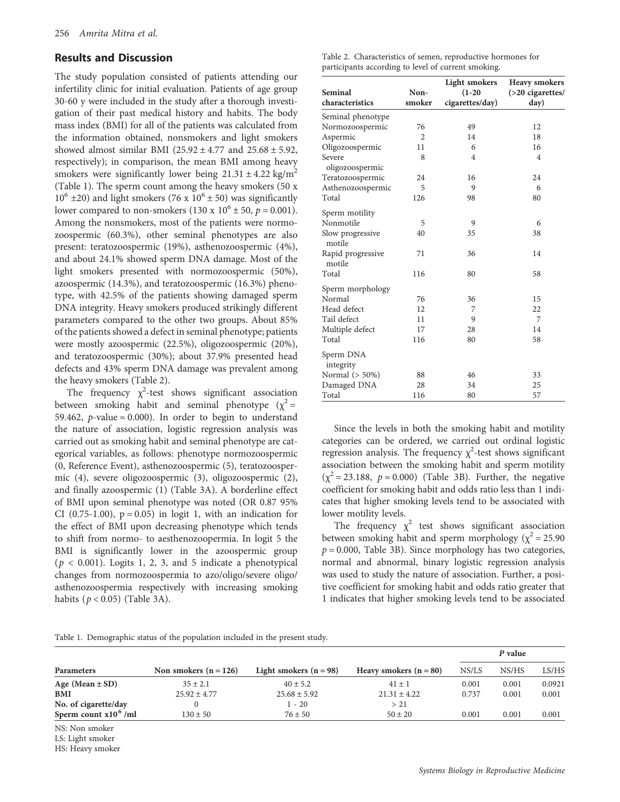## Results and Discussion

The study population consisted of patients attending our infertility clinic for initial evaluation. Patients of age group 30-60 y were included in the study after a thorough investigation of their past medical history and habits. The body mass index (BMI) for all of the patients was calculated from the information obtained, nonsmokers and light smokers showed almost similar BMI ( $25.92 \pm 4.77$  and  $25.68 \pm 5.92$ , respectively); in comparison, the mean BMI among heavy smokers were significantly lower being  $21.31 \pm 4.22$  kg/m<sup>2</sup> (Table 1). The sperm count among the heavy smokers (50 x  $10^6 \pm 20$ ) and light smokers (76 x  $10^6 \pm 50$ ) was significantly lower compared to non-smokers (130 x  $10^6 \pm 50$ ,  $p = 0.001$ ). Among the nonsmokers, most of the patients were normozoospermic (60.3%), other seminal phenotypes are also present: teratozoospermic (19%), asthenozoospermic (4%), and about 24.1% showed sperm DNA damage. Most of the light smokers presented with normozoospermic (50%), azoospermic (14.3%), and teratozoospermic (16.3%) phenotype, with 42.5% of the patients showing damaged sperm DNA integrity. Heavy smokers produced strikingly different parameters compared to the other two groups. About 85% of the patients showed a defect in seminal phenotype; patients were mostly azoospermic (22.5%), oligozoospermic (20%), and teratozoospermic (30%); about 37.9% presented head defects and 43% sperm DNA damage was prevalent among the heavy smokers (Table 2).

The frequency  $\chi^2$ -test shows significant association between smoking habit and seminal phenotype ( $\chi^2$  = 59.462, *p*-value ≈ 0.000). In order to begin to understand the nature of association, logistic regression analysis was carried out as smoking habit and seminal phenotype are categorical variables, as follows: phenotype normozoospermic (0, Reference Event), asthenozoospermic (5), teratozoospermic (4), severe oligozoospermic (3), oligozoospermic (2), and finally azoospermic (1) (Table 3A). A borderline effect of BMI upon seminal phenotype was noted (OR 0.87 95% CI (0.75-1.00),  $p = 0.05$ ) in logit 1, with an indication for the effect of BMI upon decreasing phenotype which tends to shift from normo- to aesthenozoopermia. In logit 5 the BMI is significantly lower in the azoospermic group  $(p < 0.001)$ . Logits 1, 2, 3, and 5 indicate a phenotypical changes from normozoospermia to azo/oligo/severe oligo/ asthenozoospermia respectively with increasing smoking habits  $(p < 0.05)$  (Table 3A).

|                                                     | Table 2. Characteristics of semen, reproductive hormones for |
|-----------------------------------------------------|--------------------------------------------------------------|
| participants according to level of current smoking. |                                                              |

|                             |        | Light smokers   | <b>Heavy smokers</b> |
|-----------------------------|--------|-----------------|----------------------|
| <b>Seminal</b>              | Non-   | $(1-20)$        | $( >20$ cigarettes/  |
| characteristics             | smoker | cigarettes/day) | day)                 |
| Seminal phenotype           |        |                 |                      |
| Normozoospermic             | 76     | 49              | 12                   |
| Aspermic                    | 2      | 14              | 18                   |
| Oligozoospermic             | 11     | 6               | 16                   |
| Severe<br>oligozoospermic   | 8      | $\overline{4}$  | $\overline{4}$       |
| Teratozoospermic            | 24     | 16              | 24                   |
| Asthenozoospermic           | 5      | 9               | 6                    |
| Total                       | 126    | 98              | 80                   |
| Sperm motility              |        |                 |                      |
| Nonmotile                   | 5      | 9               | 6                    |
| Slow progressive<br>motile  | 40     | 35              | 38                   |
| Rapid progressive<br>motile | 71     | 36              | 14                   |
| Total                       | 116    | 80              | 58                   |
| Sperm morphology            |        |                 |                      |
| Normal                      | 76     | 36              | 15                   |
| Head defect                 | 12     | 7               | 22                   |
| Tail defect                 | 11     | 9               | 7                    |
| Multiple defect             | 17     | 28              | 14                   |
| Total                       | 116    | 80              | 58                   |
| Sperm DNA<br>integrity      |        |                 |                      |
| Normal (> 50%)              | 88     | 46              | 33                   |
| Damaged DNA                 | 28     | 34              | 25                   |
| Total                       | 116    | 80              | 57                   |

Since the levels in both the smoking habit and motility categories can be ordered, we carried out ordinal logistic regression analysis. The frequency  $\chi^2$ -test shows significant association between the smoking habit and sperm motility  $(\chi^2 = 23.188, p \approx 0.000)$  (Table 3B). Further, the negative coefficient for smoking habit and odds ratio less than 1 indicates that higher smoking levels tend to be associated with lower motility levels.

The frequency  $\chi^2$  test shows significant association between smoking habit and sperm morphology ( $\chi^2$  = 25.90  $p = 0.000$ , Table 3B). Since morphology has two categories, normal and abnormal, binary logistic regression analysis was used to study the nature of association. Further, a positive coefficient for smoking habit and odds ratio greater that 1 indicates that higher smoking levels tend to be associated

| Table 1. Demographic status of the population included in the present study. |  |  |  |
|------------------------------------------------------------------------------|--|--|--|
|                                                                              |  |  |  |

|                         |                         |                          |                          |       | P value |        |
|-------------------------|-------------------------|--------------------------|--------------------------|-------|---------|--------|
| <b>Parameters</b>       | Non smokers $(n = 126)$ | Light smokers $(n = 98)$ | Heavy smokers $(n = 80)$ | NS/LS | NS/HS   | LS/HS  |
| Age (Mean $\pm$ SD)     | $35 \pm 2.1$            | $40 \pm 5.2$             | $41 \pm 1$               | 0.001 | 0.001   | 0.0921 |
| <b>BMI</b>              | $25.92 \pm 4.77$        | $25.68 \pm 5.92$         | $21.31 \pm 4.22$         | 0.737 | 0.001   | 0.001  |
| No. of cigarette/day    |                         | $1 - 20$                 | >21                      |       |         |        |
| Sperm count $x10^6$ /ml | $130 \pm 50$            | $76 \pm 50$              | $50 \pm 20$              | 0.001 | 0.001   | 0.001  |

NS: Non smoker

LS: Light smoker

HS: Heavy smoker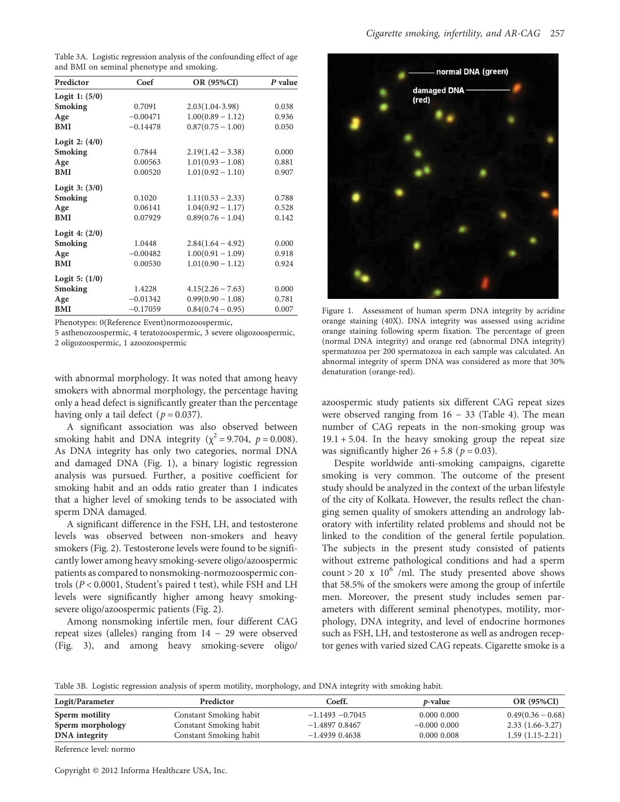| Table 3A. Logistic regression analysis of the confounding effect of age |  |  |  |
|-------------------------------------------------------------------------|--|--|--|
| and BMI on seminal phenotype and smoking.                               |  |  |  |

| Predictor        | Coef       | OR (95%CI)          | P value |
|------------------|------------|---------------------|---------|
| Logit 1: $(5/0)$ |            |                     |         |
| <b>Smoking</b>   | 0.7091     | $2.03(1.04-3.98)$   | 0.038   |
| Age              | $-0.00471$ | $1.00(0.89 - 1.12)$ | 0.936   |
| <b>BMI</b>       | $-0.14478$ | $0.87(0.75 - 1.00)$ | 0.050   |
| Logit 2: $(4/0)$ |            |                     |         |
| <b>Smoking</b>   | 0.7844     | $2.19(1.42 - 3.38)$ | 0.000   |
| Age              | 0.00563    | $1.01(0.93 - 1.08)$ | 0.881   |
| <b>BMI</b>       | 0.00520    | $1.01(0.92 - 1.10)$ | 0.907   |
| Logit $3: (3/0)$ |            |                     |         |
| <b>Smoking</b>   | 0.1020     | $1.11(0.53 - 2.33)$ | 0.788   |
| Age              | 0.06141    | $1.04(0.92 - 1.17)$ | 0.528   |
| <b>BMI</b>       | 0.07929    | $0.89(0.76 - 1.04)$ | 0.142   |
| Logit 4: $(2/0)$ |            |                     |         |
| <b>Smoking</b>   | 1.0448     | $2.84(1.64 - 4.92)$ | 0.000   |
| Age              | $-0.00482$ | $1.00(0.91 - 1.09)$ | 0.918   |
| <b>BMI</b>       | 0.00530    | $1.01(0.90 - 1.12)$ | 0.924   |
| Logit 5: $(1/0)$ |            |                     |         |
| <b>Smoking</b>   | 1.4228     | $4.15(2.26 - 7.63)$ | 0.000   |
| Age              | $-0.01342$ | $0.99(0.90 - 1.08)$ | 0.781   |
| <b>BMI</b>       | $-0.17059$ | $0.84(0.74-0.95)$   | 0.007   |

Phenotypes: 0(Reference Event)normozoospermic,

5 asthenozoospermic, 4 teratozoospermic, 3 severe oligozoospermic, 2 oligozoospermic, 1 azoozoospermic

with abnormal morphology. It was noted that among heavy smokers with abnormal morphology, the percentage having only a head defect is significantly greater than the percentage having only a tail defect ( $p = 0.037$ ).

A significant association was also observed between smoking habit and DNA integrity ( $\chi^2$  = 9.704,  $p$  = 0.008). As DNA integrity has only two categories, normal DNA and damaged DNA (Fig. 1), a binary logistic regression analysis was pursued. Further, a positive coefficient for smoking habit and an odds ratio greater than 1 indicates that a higher level of smoking tends to be associated with sperm DNA damaged.

A significant difference in the FSH, LH, and testosterone levels was observed between non-smokers and heavy smokers (Fig. 2). Testosterone levels were found to be significantly lower among heavy smoking-severe oligo/azoospermic patients as compared to nonsmoking-normozoospermic controls (P < 0.0001, Student's paired t test), while FSH and LH levels were significantly higher among heavy smokingsevere oligo/azoospermic patients (Fig. 2).

Among nonsmoking infertile men, four different CAG repeat sizes (alleles) ranging from 14 − 29 were observed (Fig. 3), and among heavy smoking-severe oligo/



Figure 1. Assessment of human sperm DNA integrity by acridine orange staining (40X). DNA integrity was assessed using acridine orange staining following sperm fixation. The percentage of green (normal DNA integrity) and orange red (abnormal DNA integrity) spermatozoa per 200 spermatozoa in each sample was calculated. An abnormal integrity of sperm DNA was considered as more that 30% denaturation (orange-red).

azoospermic study patients six different CAG repeat sizes were observed ranging from  $16 - 33$  (Table 4). The mean number of CAG repeats in the non-smoking group was  $19.1 + 5.04$ . In the heavy smoking group the repeat size was significantly higher  $26 + 5.8$  ( $p = 0.03$ ).

Despite worldwide anti-smoking campaigns, cigarette smoking is very common. The outcome of the present study should be analyzed in the context of the urban lifestyle of the city of Kolkata. However, the results reflect the changing semen quality of smokers attending an andrology laboratory with infertility related problems and should not be linked to the condition of the general fertile population. The subjects in the present study consisted of patients without extreme pathological conditions and had a sperm count > 20 x  $10^6$  /ml. The study presented above shows that 58.5% of the smokers were among the group of infertile men. Moreover, the present study includes semen parameters with different seminal phenotypes, motility, morphology, DNA integrity, and level of endocrine hormones such as FSH, LH, and testosterone as well as androgen receptor genes with varied sized CAG repeats. Cigarette smoke is a

Table 3B. Logistic regression analysis of sperm motility, morphology, and DNA integrity with smoking habit.

| Logit/Parameter  | Predictor              | Coeff.             | p-value          | <b>OR (95%CI)</b>   |
|------------------|------------------------|--------------------|------------------|---------------------|
| Sperm motility   | Constant Smoking habit | $-1.1493 - 0.7045$ | 0.000000         | $0.49(0.36 - 0.68)$ |
| Sperm morphology | Constant Smoking habit | $-1.4897$ 0.8467   | $-0.000$ $0.000$ | $2.33(1.66-3.27)$   |
| DNA integrity    | Constant Smoking habit | $-1.4939$ 0.4638   | 0.000 0.008      | $1.59(1.15-2.21)$   |

Reference level: normo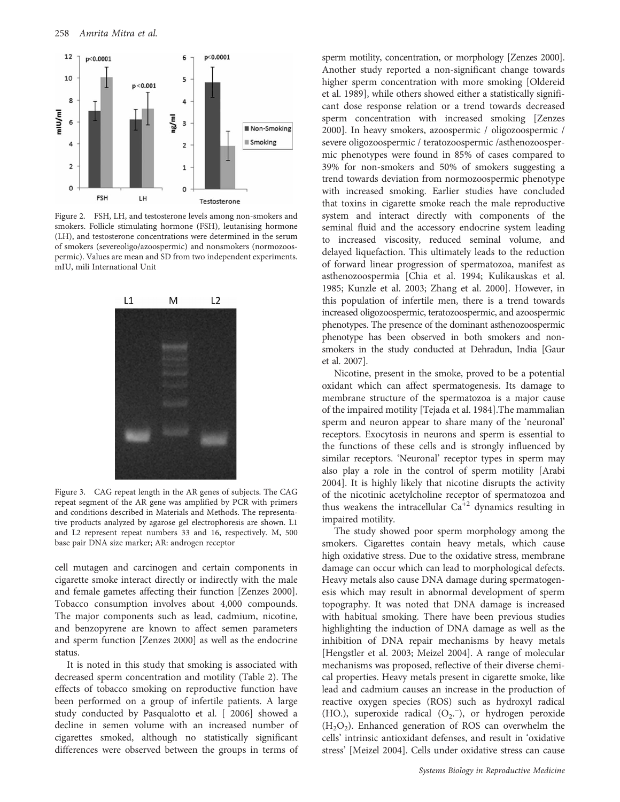

Figure 2. FSH, LH, and testosterone levels among non-smokers and smokers. Follicle stimulating hormone (FSH), leutanising hormone (LH), and testosterone concentrations were determined in the serum of smokers (severeoligo/azoospermic) and nonsmokers (normozoospermic). Values are mean and SD from two independent experiments. mIU, mili International Unit



Figure 3. CAG repeat length in the AR genes of subjects. The CAG repeat segment of the AR gene was amplified by PCR with primers and conditions described in Materials and Methods. The representative products analyzed by agarose gel electrophoresis are shown. L1 and L2 represent repeat numbers 33 and 16, respectively. M, 500 base pair DNA size marker; AR: androgen receptor

cell mutagen and carcinogen and certain components in cigarette smoke interact directly or indirectly with the male and female gametes affecting their function [Zenzes 2000]. Tobacco consumption involves about 4,000 compounds. The major components such as lead, cadmium, nicotine, and benzopyrene are known to affect semen parameters and sperm function [Zenzes 2000] as well as the endocrine status.

It is noted in this study that smoking is associated with decreased sperm concentration and motility (Table 2). The effects of tobacco smoking on reproductive function have been performed on a group of infertile patients. A large study conducted by Pasqualotto et al. [ 2006] showed a decline in semen volume with an increased number of cigarettes smoked, although no statistically significant differences were observed between the groups in terms of

sperm motility, concentration, or morphology [Zenzes 2000]. Another study reported a non-significant change towards higher sperm concentration with more smoking [Oldereid et al. 1989], while others showed either a statistically significant dose response relation or a trend towards decreased sperm concentration with increased smoking [Zenzes 2000]. In heavy smokers, azoospermic / oligozoospermic / severe oligozoospermic / teratozoospermic /asthenozoospermic phenotypes were found in 85% of cases compared to 39% for non-smokers and 50% of smokers suggesting a trend towards deviation from normozoospermic phenotype with increased smoking. Earlier studies have concluded that toxins in cigarette smoke reach the male reproductive system and interact directly with components of the seminal fluid and the accessory endocrine system leading to increased viscosity, reduced seminal volume, and delayed liquefaction. This ultimately leads to the reduction of forward linear progression of spermatozoa, manifest as asthenozoospermia [Chia et al. 1994; Kulikauskas et al. 1985; Kunzle et al. 2003; Zhang et al. 2000]. However, in this population of infertile men, there is a trend towards increased oligozoospermic, teratozoospermic, and azoospermic phenotypes. The presence of the dominant asthenozoospermic phenotype has been observed in both smokers and nonsmokers in the study conducted at Dehradun, India [Gaur et al. 2007].

Nicotine, present in the smoke, proved to be a potential oxidant which can affect spermatogenesis. Its damage to membrane structure of the spermatozoa is a major cause of the impaired motility [Tejada et al. 1984].The mammalian sperm and neuron appear to share many of the 'neuronal' receptors. Exocytosis in neurons and sperm is essential to the functions of these cells and is strongly influenced by similar receptors. 'Neuronal' receptor types in sperm may also play a role in the control of sperm motility [Arabi 2004]. It is highly likely that nicotine disrupts the activity of the nicotinic acetylcholine receptor of spermatozoa and thus weakens the intracellular  $Ca^{\frac{1}{2}}$  dynamics resulting in impaired motility.

The study showed poor sperm morphology among the smokers. Cigarettes contain heavy metals, which cause high oxidative stress. Due to the oxidative stress, membrane damage can occur which can lead to morphological defects. Heavy metals also cause DNA damage during spermatogenesis which may result in abnormal development of sperm topography. It was noted that DNA damage is increased with habitual smoking. There have been previous studies highlighting the induction of DNA damage as well as the inhibition of DNA repair mechanisms by heavy metals [Hengstler et al. 2003; Meizel 2004]. A range of molecular mechanisms was proposed, reflective of their diverse chemical properties. Heavy metals present in cigarette smoke, like lead and cadmium causes an increase in the production of reactive oxygen species (ROS) such as hydroxyl radical (HO.), superoxide radical (O<sub>2</sub>.<sup>-</sup>), or hydrogen peroxide  $(H<sub>2</sub>O<sub>2</sub>)$ . Enhanced generation of ROS can overwhelm the cells' intrinsic antioxidant defenses, and result in 'oxidative stress' [Meizel 2004]. Cells under oxidative stress can cause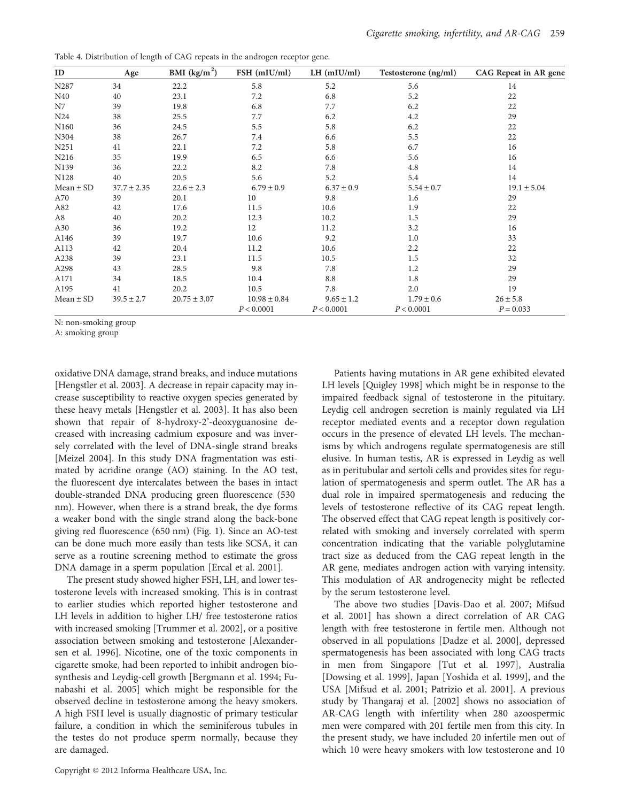Table 4. Distribution of length of CAG repeats in the androgen receptor gene.

| ID               | Age             | BMI $(kg/m2)$    | FSH (mIU/ml)     | $LH$ (mIU/ml)  | Testosterone (ng/ml) | CAG Repeat in AR gene |
|------------------|-----------------|------------------|------------------|----------------|----------------------|-----------------------|
| N287             | 34              | 22.2             | 5.8              | 5.2            | 5.6                  | 14                    |
| N40              | 40              | 23.1             | 7.2              | 6.8            | 5.2                  | 22                    |
| N7               | 39              | 19.8             | 6.8              | 7.7            | 6.2                  | 22                    |
| N <sub>24</sub>  | 38              | 25.5             | 7.7              | 6.2            | 4.2                  | 29                    |
| N <sub>160</sub> | 36              | 24.5             | 5.5              | 5.8            | 6.2                  | 22                    |
| N304             | 38              | 26.7             | 7.4              | 6.6            | 5.5                  | 22                    |
| N251             | 41              | 22.1             | 7.2              | 5.8            | 6.7                  | 16                    |
| N216             | 35              | 19.9             | 6.5              | 6.6            | 5.6                  | 16                    |
| N139             | 36              | 22.2             | 8.2              | 7.8            | 4.8                  | 14                    |
| N128             | 40              | 20.5             | 5.6              | 5.2            | 5.4                  | 14                    |
| $Mean \pm SD$    | $37.7 \pm 2.35$ | $22.6 \pm 2.3$   | $6.79 \pm 0.9$   | $6.37 \pm 0.9$ | $5.54 \pm 0.7$       | $19.1 \pm 5.04$       |
| A70              | 39              | 20.1             | 10               | 9.8            | 1.6                  | 29                    |
| A82              | 42              | 17.6             | 11.5             | 10.6           | 1.9                  | 22                    |
| A8               | 40              | 20.2             | 12.3             | 10.2           | 1.5                  | 29                    |
| A30              | 36              | 19.2             | 12               | 11.2           | 3.2                  | 16                    |
| A146             | 39              | 19.7             | 10.6             | 9.2            | 1.0                  | 33                    |
| A113             | 42              | 20.4             | 11.2             | 10.6           | 2.2                  | 22                    |
| A238             | 39              | 23.1             | 11.5             | 10.5           | 1.5                  | 32                    |
| A298             | 43              | 28.5             | 9.8              | 7.8            | 1.2                  | 29                    |
| A171             | 34              | 18.5             | 10.4             | 8.8            | 1.8                  | 29                    |
| A195             | 41              | 20.2             | 10.5             | 7.8            | 2.0                  | 19                    |
| $Mean \pm SD$    | $39.5 \pm 2.7$  | $20.75 \pm 3.07$ | $10.98 \pm 0.84$ | $9.65 \pm 1.2$ | $1.79 \pm 0.6$       | $26 \pm 5.8$          |
|                  |                 |                  | P < 0.0001       | P < 0.0001     | P < 0.0001           | $P = 0.033$           |

N: non-smoking group

A: smoking group

oxidative DNA damage, strand breaks, and induce mutations [Hengstler et al. 2003]. A decrease in repair capacity may increase susceptibility to reactive oxygen species generated by these heavy metals [Hengstler et al. 2003]. It has also been shown that repair of 8-hydroxy-2'-deoxyguanosine decreased with increasing cadmium exposure and was inversely correlated with the level of DNA-single strand breaks [Meizel 2004]. In this study DNA fragmentation was estimated by acridine orange (AO) staining. In the AO test, the fluorescent dye intercalates between the bases in intact double-stranded DNA producing green fluorescence (530 nm). However, when there is a strand break, the dye forms a weaker bond with the single strand along the back-bone giving red fluorescence (650 nm) (Fig. 1). Since an AO-test can be done much more easily than tests like SCSA, it can serve as a routine screening method to estimate the gross DNA damage in a sperm population [Ercal et al. 2001].

The present study showed higher FSH, LH, and lower testosterone levels with increased smoking. This is in contrast to earlier studies which reported higher testosterone and LH levels in addition to higher LH/ free testosterone ratios with increased smoking [Trummer et al. 2002], or a positive association between smoking and testosterone [Alexandersen et al. 1996]. Nicotine, one of the toxic components in cigarette smoke, had been reported to inhibit androgen biosynthesis and Leydig-cell growth [Bergmann et al. 1994; Funabashi et al. 2005] which might be responsible for the observed decline in testosterone among the heavy smokers. A high FSH level is usually diagnostic of primary testicular failure, a condition in which the seminiferous tubules in the testes do not produce sperm normally, because they are damaged.

Patients having mutations in AR gene exhibited elevated LH levels [Quigley 1998] which might be in response to the impaired feedback signal of testosterone in the pituitary. Leydig cell androgen secretion is mainly regulated via LH receptor mediated events and a receptor down regulation occurs in the presence of elevated LH levels. The mechanisms by which androgens regulate spermatogenesis are still elusive. In human testis, AR is expressed in Leydig as well as in peritubular and sertoli cells and provides sites for regulation of spermatogenesis and sperm outlet. The AR has a dual role in impaired spermatogenesis and reducing the levels of testosterone reflective of its CAG repeat length. The observed effect that CAG repeat length is positively correlated with smoking and inversely correlated with sperm concentration indicating that the variable polyglutamine tract size as deduced from the CAG repeat length in the AR gene, mediates androgen action with varying intensity. This modulation of AR androgenecity might be reflected by the serum testosterone level.

The above two studies [Davis-Dao et al. 2007; Mifsud et al. 2001] has shown a direct correlation of AR CAG length with free testosterone in fertile men. Although not observed in all populations [Dadze et al. 2000], depressed spermatogenesis has been associated with long CAG tracts in men from Singapore [Tut et al. 1997], Australia [Dowsing et al. 1999], Japan [Yoshida et al. 1999], and the USA [Mifsud et al. 2001; Patrizio et al. 2001]. A previous study by Thangaraj et al. [2002] shows no association of AR-CAG length with infertility when 280 azoospermic men were compared with 201 fertile men from this city. In the present study, we have included 20 infertile men out of which 10 were heavy smokers with low testosterone and 10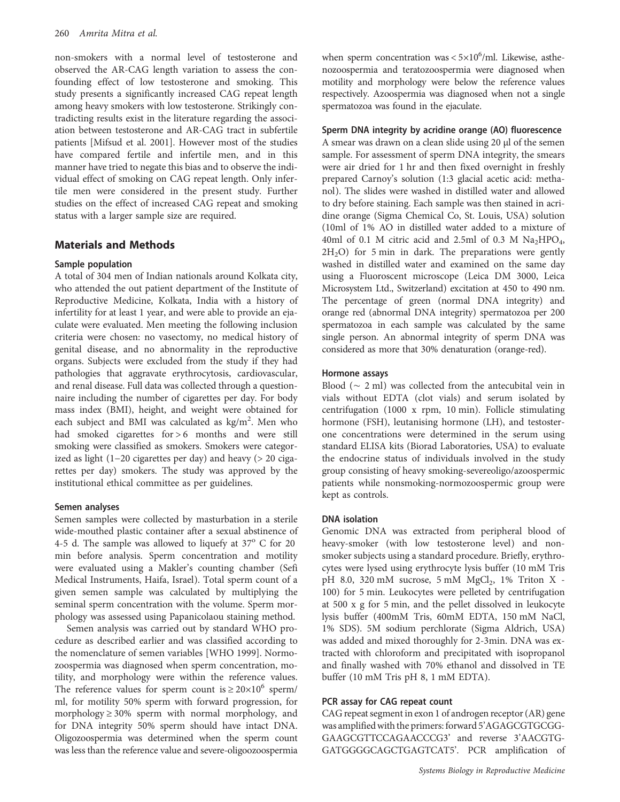non-smokers with a normal level of testosterone and observed the AR-CAG length variation to assess the confounding effect of low testosterone and smoking. This study presents a significantly increased CAG repeat length among heavy smokers with low testosterone. Strikingly contradicting results exist in the literature regarding the association between testosterone and AR-CAG tract in subfertile patients [Mifsud et al. 2001]. However most of the studies have compared fertile and infertile men, and in this manner have tried to negate this bias and to observe the individual effect of smoking on CAG repeat length. Only infertile men were considered in the present study. Further studies on the effect of increased CAG repeat and smoking status with a larger sample size are required.

# Materials and Methods

#### Sample population

A total of 304 men of Indian nationals around Kolkata city, who attended the out patient department of the Institute of Reproductive Medicine, Kolkata, India with a history of infertility for at least 1 year, and were able to provide an ejaculate were evaluated. Men meeting the following inclusion criteria were chosen: no vasectomy, no medical history of genital disease, and no abnormality in the reproductive organs. Subjects were excluded from the study if they had pathologies that aggravate erythrocytosis, cardiovascular, and renal disease. Full data was collected through a questionnaire including the number of cigarettes per day. For body mass index (BMI), height, and weight were obtained for each subject and BMI was calculated as kg/m<sup>2</sup>. Men who had smoked cigarettes for > 6 months and were still smoking were classified as smokers. Smokers were categorized as light (1−20 cigarettes per day) and heavy (> 20 cigarettes per day) smokers. The study was approved by the institutional ethical committee as per guidelines.

#### Semen analyses

Semen samples were collected by masturbation in a sterile wide-mouthed plastic container after a sexual abstinence of 4-5 d. The sample was allowed to liquefy at  $37^{\circ}$  C for 20 min before analysis. Sperm concentration and motility were evaluated using a Makler's counting chamber (Sefi Medical Instruments, Haifa, Israel). Total sperm count of a given semen sample was calculated by multiplying the seminal sperm concentration with the volume. Sperm morphology was assessed using Papanicolaou staining method.

Semen analysis was carried out by standard WHO procedure as described earlier and was classified according to the nomenclature of semen variables [WHO 1999]. Normozoospermia was diagnosed when sperm concentration, motility, and morphology were within the reference values. The reference values for sperm count is  $\geq 20 \times 10^6$  sperm/ ml, for motility 50% sperm with forward progression, for morphology  $\geq 30\%$  sperm with normal morphology, and for DNA integrity 50% sperm should have intact DNA. Oligozoospermia was determined when the sperm count was less than the reference value and severe-oligoozoospermia

when sperm concentration was  $< 5 \times 10^6$ /ml. Likewise, asthenozoospermia and teratozoospermia were diagnosed when motility and morphology were below the reference values respectively. Azoospermia was diagnosed when not a single spermatozoa was found in the ejaculate.

# Sperm DNA integrity by acridine orange (AO) fluorescence

A smear was drawn on a clean slide using 20 µl of the semen sample. For assessment of sperm DNA integrity, the smears were air dried for 1 hr and then fixed overnight in freshly prepared Carnoy's solution (1:3 glacial acetic acid: methanol). The slides were washed in distilled water and allowed to dry before staining. Each sample was then stained in acridine orange (Sigma Chemical Co, St. Louis, USA) solution (10ml of 1% AO in distilled water added to a mixture of 40ml of 0.1 M citric acid and 2.5ml of 0.3 M  $\text{Na}_2\text{HPO}_4$ ,  $2H<sub>2</sub>O$ ) for 5 min in dark. The preparations were gently washed in distilled water and examined on the same day using a Fluoroscent microscope (Leica DM 3000, Leica Microsystem Ltd., Switzerland) excitation at 450 to 490 nm. The percentage of green (normal DNA integrity) and orange red (abnormal DNA integrity) spermatozoa per 200 spermatozoa in each sample was calculated by the same single person. An abnormal integrity of sperm DNA was considered as more that 30% denaturation (orange-red).

#### Hormone assays

Blood (∼ 2 ml) was collected from the antecubital vein in vials without EDTA (clot vials) and serum isolated by centrifugation (1000 x rpm, 10 min). Follicle stimulating hormone (FSH), leutanising hormone (LH), and testosterone concentrations were determined in the serum using standard ELISA kits (Biorad Laboratories, USA) to evaluate the endocrine status of individuals involved in the study group consisting of heavy smoking-severeoligo/azoospermic patients while nonsmoking-normozoospermic group were kept as controls.

#### DNA isolation

Genomic DNA was extracted from peripheral blood of heavy-smoker (with low testosterone level) and nonsmoker subjects using a standard procedure. Briefly, erythrocytes were lysed using erythrocyte lysis buffer (10 mM Tris pH 8.0, 320 mM sucrose, 5 mM  $MgCl<sub>2</sub>$ , 1% Triton X -100) for 5 min. Leukocytes were pelleted by centrifugation at 500 x g for 5 min, and the pellet dissolved in leukocyte lysis buffer (400mM Tris, 60mM EDTA, 150 mM NaCl, 1% SDS). 5M sodium perchlorate (Sigma Aldrich, USA) was added and mixed thoroughly for 2-3min. DNA was extracted with chloroform and precipitated with isopropanol and finally washed with 70% ethanol and dissolved in TE buffer (10 mM Tris pH 8, 1 mM EDTA).

### PCR assay for CAG repeat count

CAG repeat segment in exon 1 of androgen receptor (AR) gene was amplified with the primers: forward 5'AGAGCGTGCGG-GAAGCGTTCCAGAACCCG3' and reverse 3'AACGTG-GATGGGGCAGCTGAGTCAT5'. PCR amplification of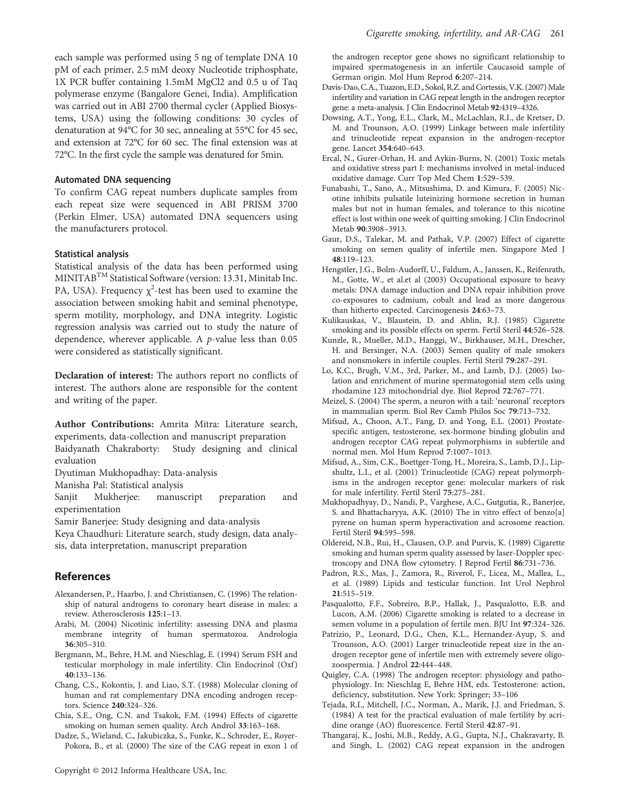each sample was performed using 5 ng of template DNA 10 pM of each primer, 2.5 mM deoxy Nucleotide triphosphate, 1X PCR buffer containing 1.5mM MgCl2 and 0.5 u of Taq polymerase enzyme (Bangalore Genei, India). Amplification was carried out in ABI 2700 thermal cycler (Applied Biosystems, USA) using the following conditions: 30 cycles of denaturation at 94°C for 30 sec, annealing at 55°C for 45 sec, and extension at 72°C for 60 sec. The final extension was at 72°C. In the first cycle the sample was denatured for 5min.

#### Automated DNA sequencing

To confirm CAG repeat numbers duplicate samples from each repeat size were sequenced in ABI PRISM 3700 (Perkin Elmer, USA) automated DNA sequencers using the manufacturers protocol.

#### Statistical analysis

Statistical analysis of the data has been performed using MINITABTM Statistical Software (version: 13.31, Minitab Inc. PA, USA). Frequency  $\chi^2$ -test has been used to examine the association between smoking habit and seminal phenotype, sperm motility, morphology, and DNA integrity. Logistic regression analysis was carried out to study the nature of dependence, wherever applicable. A p-value less than 0.05 were considered as statistically significant.

Declaration of interest: The authors report no conflicts of interest. The authors alone are responsible for the content and writing of the paper.

Author Contributions: Amrita Mitra: Literature search, experiments, data-collection and manuscript preparation Baidyanath Chakraborty: Study designing and clinical evaluation

Dyutiman Mukhopadhay: Data-analysis

Manisha Pal: Statistical analysis

Sanjit Mukherjee: manuscript preparation and experimentation

Samir Banerjee: Study designing and data-analysis

Keya Chaudhuri: Literature search, study design, data analysis, data interpretation, manuscript preparation

#### References

- Alexandersen, P., Haarbo, J. and Christiansen, C. (1996) The relationship of natural androgens to coronary heart disease in males: a review. Atherosclerosis 125:1–13.
- Arabi, M. (2004) Nicotinic infertility: assessing DNA and plasma membrane integrity of human spermatozoa. Andrologia 36:305–310.
- Bergmann, M., Behre, H.M. and Nieschlag, E. (1994) Serum FSH and testicular morphology in male infertility. Clin Endocrinol (Oxf) 40:133–136.
- Chang, C.S., Kokontis, J. and Liao, S.T. (1988) Molecular cloning of human and rat complementary DNA encoding androgen receptors. Science 240:324–326.
- Chia, S.E., Ong, C.N. and Tsakok, F.M. (1994) Effects of cigarette smoking on human semen quality. Arch Androl 33:163–168.
- Dadze, S., Wieland, C., Jakubiczka, S., Funke, K., Schroder, E., Royer-Pokora, B., et al. (2000) The size of the CAG repeat in exon 1 of

the androgen receptor gene shows no significant relationship to impaired spermatogenesis in an infertile Caucasoid sample of German origin. Mol Hum Reprod 6:207–214.

- Davis-Dao, C.A., Tuazon, E.D., Sokol, R.Z. and Cortessis, V.K. (2007) Male infertility and variation in CAG repeat length in the androgen receptor gene: a meta-analysis. J Clin Endocrinol Metab 92:4319–4326.
- Dowsing, A.T., Yong, E.L., Clark, M., McLachlan, R.I., de Kretser, D. M. and Trounson, A.O. (1999) Linkage between male infertility and trinucleotide repeat expansion in the androgen-receptor gene. Lancet 354:640–643.
- Ercal, N., Gurer-Orhan, H. and Aykin-Burns, N. (2001) Toxic metals and oxidative stress part I: mechanisms involved in metal-induced oxidative damage. Curr Top Med Chem 1:529–539.
- Funabashi, T., Sano, A., Mitsushima, D. and Kimura, F. (2005) Nicotine inhibits pulsatile luteinizing hormone secretion in human males but not in human females, and tolerance to this nicotine effect is lost within one week of quitting smoking. J Clin Endocrinol Metab 90:3908–3913.
- Gaur, D.S., Talekar, M. and Pathak, V.P. (2007) Effect of cigarette smoking on semen quality of infertile men. Singapore Med J 48:119–123.
- Hengstler, J.G., Bolm-Audorff, U., Faldum, A., Janssen, K., Reifenrath, M., Gotte, W., et al.et al (2003) Occupational exposure to heavy metals: DNA damage induction and DNA repair inhibition prove co-exposures to cadmium, cobalt and lead as more dangerous than hitherto expected. Carcinogenesis 24:63–73.
- Kulikauskas, V., Blaustein, D. and Ablin, R.J. (1985) Cigarette smoking and its possible effects on sperm. Fertil Steril 44:526–528.
- Kunzle, R., Mueller, M.D., Hanggi, W., Birkhauser, M.H., Drescher, H. and Bersinger, N.A. (2003) Semen quality of male smokers and nonsmokers in infertile couples. Fertil Steril 79:287–291.
- Lo, K.C., Brugh, V.M., 3rd, Parker, M., and Lamb, D.J. (2005) Isolation and enrichment of murine spermatogonial stem cells using rhodamine 123 mitochondrial dye. Biol Reprod 72:767–771.
- Meizel, S. (2004) The sperm, a neuron with a tail: 'neuronal' receptors in mammalian sperm. Biol Rev Camb Philos Soc 79:713–732.
- Mifsud, A., Choon, A.T., Fang, D. and Yong, E.L. (2001) Prostatespecific antigen, testosterone, sex-hormone binding globulin and androgen receptor CAG repeat polymorphisms in subfertile and normal men. Mol Hum Reprod 7:1007–1013.
- Mifsud, A., Sim, C.K., Boettger-Tong, H., Moreira, S., Lamb, D.J., Lipshultz, L.I., et al. (2001) Trinucleotide (CAG) repeat polymorphisms in the androgen receptor gene: molecular markers of risk for male infertility. Fertil Steril 75:275–281.
- Mukhopadhyay, D., Nandi, P., Varghese, A.C., Gutgutia, R., Banerjee, S. and Bhattacharyya, A.K. (2010) The in vitro effect of benzo[a] pyrene on human sperm hyperactivation and acrosome reaction. Fertil Steril 94:595–598.
- Oldereid, N.B., Rui, H., Clausen, O.P. and Purvis, K. (1989) Cigarette smoking and human sperm quality assessed by laser-Doppler spectroscopy and DNA flow cytometry. J Reprod Fertil 86:731–736.
- Padron, R.S., Mas, J., Zamora, R., Riverol, F., Licea, M., Mallea, L., et al. (1989) Lipids and testicular function. Int Urol Nephrol 21:515–519.
- Pasqualotto, F.F., Sobreiro, B.P., Hallak, J., Pasqualotto, E.B. and Lucon, A.M. (2006) Cigarette smoking is related to a decrease in semen volume in a population of fertile men. BJU Int 97:324–326.
- Patrizio, P., Leonard, D.G., Chen, K.L., Hernandez-Ayup, S. and Trounson, A.O. (2001) Larger trinucleotide repeat size in the androgen receptor gene of infertile men with extremely severe oligozoospermia. J Androl 22:444–448.
- Quigley, C.A. (1998) The androgen receptor: physiology and pathophysiology. In: Nieschlag E, Behre HM, eds. Testosterone: action, deficiency, substitution. New York: Springer; 33–106
- Tejada, R.I., Mitchell, J.C., Norman, A., Marik, J.J. and Friedman, S. (1984) A test for the practical evaluation of male fertility by acridine orange (AO) fluorescence. Fertil Steril 42:87–91.
- Thangaraj, K., Joshi, M.B., Reddy, A.G., Gupta, N.J., Chakravarty, B. and Singh, L. (2002) CAG repeat expansion in the androgen